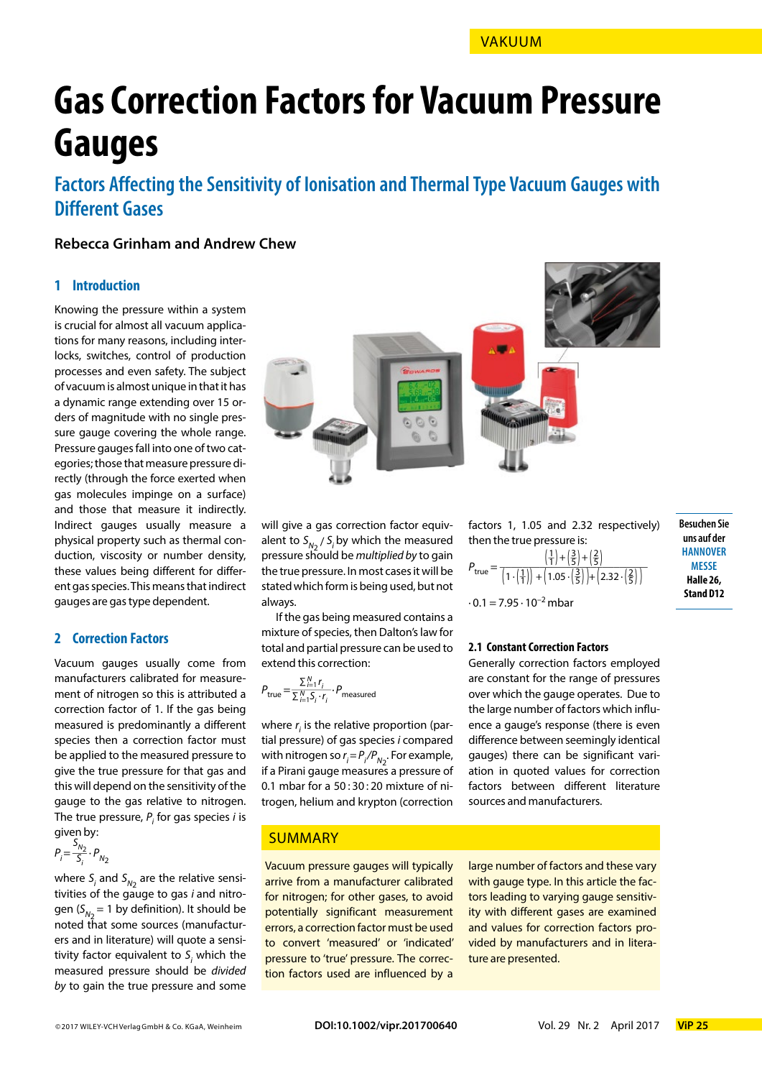## VAKUUM

# **Gas Correction Factors for Vacuum Pressure Gauges**

**Factors Affecting the Sensitivity of Ionisation and Thermal Type Vacuum Gauges with Different Gases**

## **Rebecca Grinham and Andrew Chew**

## **1 Introduction**

Knowing the pressure within a system is crucial for almost all vacuum applications for many reasons, including interlocks, switches, control of production processes and even safety. The subject of vacuum is almost unique in that it has a dynamic range extending over 15 orders of magnitude with no single pressure gauge covering the whole range. Pressure gauges fall into one of two categories; those that measure pressure directly (through the force exerted when gas molecules impinge on a surface) and those that measure it indirectly. Indirect gauges usually measure a physical property such as thermal conduction, viscosity or number density, these values being different for different gas species. This means that indirect gauges are gas type dependent.

## **2 Correction Factors**

Vacuum gauges usually come from manufacturers calibrated for measurement of nitrogen so this is attributed a correction factor of 1. If the gas being measured is predominantly a different species then a correction factor must be applied to the measured pressure to give the true pressure for that gas and this will depend on the sensitivity of the gauge to the gas relative to nitrogen. The true pressure, *Pi* for gas species *i* is given by:

$$
P_i = \frac{S_{N_2}}{S_i} \cdot P_{N_2}
$$

where  $S_{\scriptscriptstyle \hat{I}}$  and  $S_{\scriptscriptstyle \hat{N}_2}$  are the relative sensitivities of the gauge to gas *i* and nitrogen ( $S_{N_2}$  = 1 by definition). It should be noted that some sources (manufacturers and in literature) will quote a sensitivity factor equivalent to S<sub>i</sub> which the measured pressure should be *divided by* to gain the true pressure and some



will give a gas correction factor equivalent to  $S_{N_2}$  /  $S_i$  by which the measured pressure should be *multiplied by* to gain the true pressure. In most cases it will be stated which form is being used, but not always.

If the gas being measured contains a mixture of species, then Dalton's law for total and partial pressure can be used to extend this correction:

$$
P_{\text{true}} = \frac{\sum_{i=1}^{N} r_i}{\sum_{i=1}^{N} S_i \cdot r_i} \cdot P_{\text{measured}}
$$

where  $r_i$  is the relative proportion (partial pressure) of gas species *i* compared with nitrogen so  $r_i = P_i / P_{N_2}$ . For example, if a Pirani gauge measures a pressure of 0.1 mbar for a 50 : 30 : 20 mixture of nitrogen, helium and krypton (correction

factors 1, 1.05 and 2.32 respectively)<br>then the true pressure is:<br> $P_{\text{true}} = \frac{\left(\frac{1}{1}\right) + \left(\frac{3}{5}\right) + \left(\frac{2}{5}\right)}{\left(1 \cdot \left(\frac{1}{1}\right)\right) + \left(1.05 \cdot \left(\frac{3}{5}\right)\right) + \left(2.32 \cdot \left(\frac{2}{5}\right)\right)}$ then the true pressure is:

$$
P_{\text{true}} = \frac{\left(\frac{1}{1}\right) + \left(\frac{3}{5}\right) + \left(\frac{2}{5}\right)}{\left(1 \cdot \left(\frac{1}{1}\right)\right) + \left(1.05 \cdot \left(\frac{3}{5}\right)\right) + \left(2.32 \cdot \left(\frac{2}{5}\right)\right)}
$$

 $\cdot$  0.1 = 7.95  $\cdot$  10<sup>-2</sup> mbar

## **2.1 Constant Correction Factors**

Generally correction factors employed are constant for the range of pressures over which the gauge operates. Due to the large number of factors which influence a gauge's response (there is even difference between seemingly identical gauges) there can be significant variation in quoted values for correction factors between different literature sources and manufacturers.

## SUMMARY

Vacuum pressure gauges will typically arrive from a manufacturer calibrated for nitrogen; for other gases, to avoid potentially significant measurement errors, a correction factor must be used to convert 'measured' or 'indicated' pressure to 'true' pressure. The correction factors used are influenced by a

large number of factors and these vary with gauge type. In this article the factors leading to varying gauge sensitivity with different gases are examined and values for correction factors provided by manufacturers and in literature are presented.

**Besuchen Sie uns auf der HANNOVER MESSE Halle 26, Stand D12**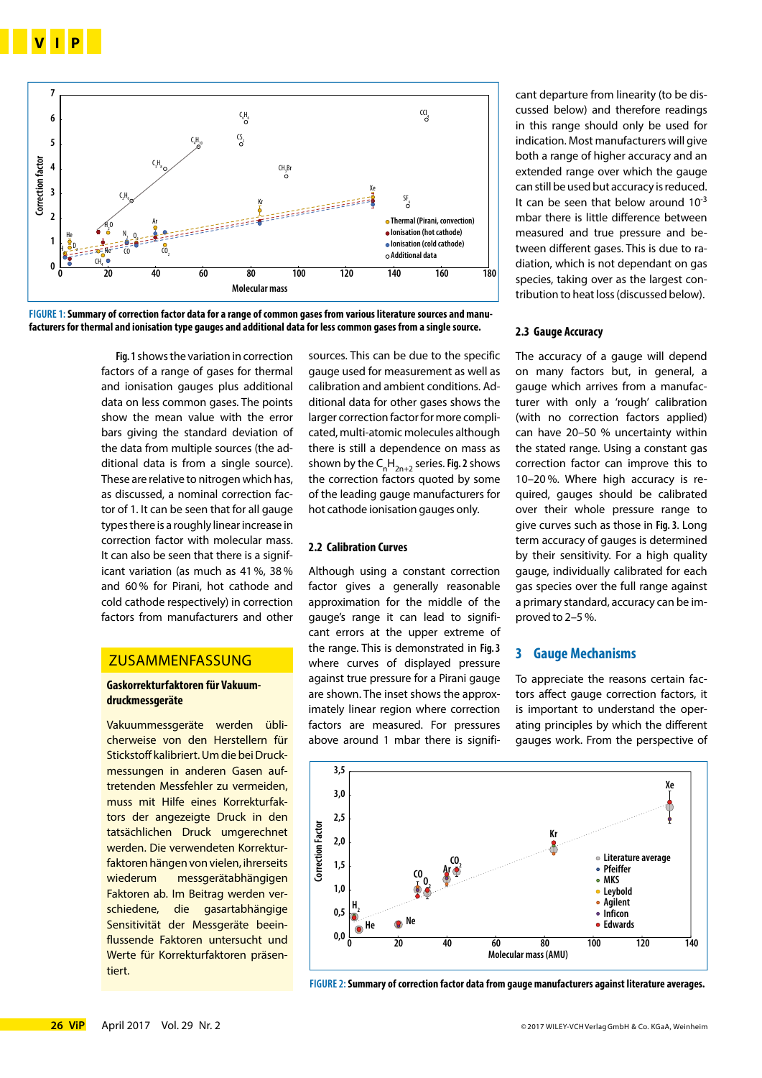## **V I P**



**FIGURE 1: Summary of correction factor data for a range of common gases from various literature sources and manufacturers for thermal and ionisation type gauges and additional data for less common gases from a single source.**

> **Fig. 1** shows the variation in correction factors of a range of gases for thermal and ionisation gauges plus additional data on less common gases. The points show the mean value with the error bars giving the standard deviation of the data from multiple sources (the additional data is from a single source). These are relative to nitrogen which has, as discussed, a nominal correction factor of 1. It can be seen that for all gauge types there is a roughly linear increase in correction factor with molecular mass. It can also be seen that there is a significant variation (as much as 41 %, 38 % and 60 % for Pirani, hot cathode and cold cathode respectively) in correction factors from manufacturers and other

## ZUSAMMENFASSUNG

## **Gaskorrekturfaktoren für Vakuumdruckmessgeräte**

Vakuummessgeräte werden üblicherweise von den Herstellern für Stickstoff kalibriert. Um die bei Druckmessungen in anderen Gasen auftretenden Messfehler zu vermeiden, muss mit Hilfe eines Korrekturfaktors der angezeigte Druck in den tatsächlichen Druck umgerechnet werden. Die verwendeten Korrekturfaktoren hängen von vielen, ihrerseits wiederum messgerätabhängigen Faktoren ab. Im Beitrag werden verschiedene, die gasartabhängige Sensitivität der Messgeräte beeinflussende Faktoren untersucht und Werte für Korrekturfaktoren präsentiert.

sources. This can be due to the specific gauge used for measurement as well as calibration and ambient conditions. Additional data for other gases shows the larger correction factor for more complicated, multi-atomic molecules although there is still a dependence on mass as shown by the C<sub>n</sub>H<sub>2n+2</sub> series. **Fig. 2** shows the correction factors quoted by some of the leading gauge manufacturers for hot cathode ionisation gauges only.

## **2.2 Calibration Curves**

Although using a constant correction factor gives a generally reasonable approximation for the middle of the gauge's range it can lead to significant errors at the upper extreme of the range. This is demonstrated in **Fig. 3** where curves of displayed pressure against true pressure for a Pirani gauge are shown. The inset shows the approximately linear region where correction factors are measured. For pressures above around 1 mbar there is significant departure from linearity (to be discussed below) and therefore readings in this range should only be used for indication. Most manufacturers will give both a range of higher accuracy and an extended range over which the gauge can still be used but accuracy is reduced. It can be seen that below around  $10^{-3}$ mbar there is little difference between measured and true pressure and between different gases. This is due to radiation, which is not dependant on gas species, taking over as the largest contribution to heat loss (discussed below).

#### **2.3 Gauge Accuracy**

The accuracy of a gauge will depend on many factors but, in general, a gauge which arrives from a manufacturer with only a 'rough' calibration (with no correction factors applied) can have 20-50 % uncertainty within the stated range. Using a constant gas correction factor can improve this to 10–20 %. Where high accuracy is required, gauges should be calibrated over their whole pressure range to give curves such as those in **Fig. 3**. Long term accuracy of gauges is determined by their sensitivity. For a high quality gauge, individually calibrated for each gas species over the full range against a primary standard, accuracy can be improved to 2–5 %.

## **3 Gauge Mechanisms**

To appreciate the reasons certain factors affect gauge correction factors, it is important to understand the operating principles by which the different gauges work. From the perspective of



**FIGURE 2: Summary of correction factor data from gauge manufacturers against literature averages.**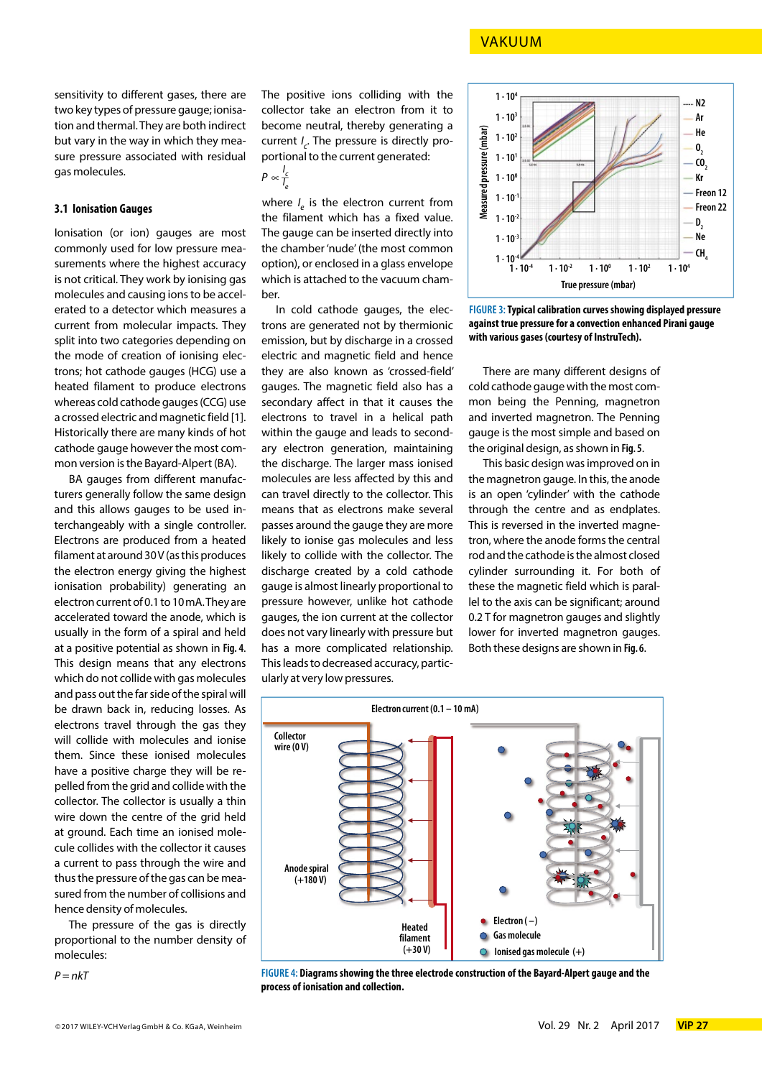## VAKUUM

sensitivity to different gases, there are two key types of pressure gauge; ionisation and thermal. They are both indirect but vary in the way in which they measure pressure associated with residual gas molecules.

## **3.1 Ionisation Gauges**

Ionisation (or ion) gauges are most commonly used for low pressure measurements where the highest accuracy is not critical. They work by ionising gas molecules and causing ions to be accelerated to a detector which measures a current from molecular impacts. They split into two categories depending on the mode of creation of ionising electrons; hot cathode gauges (HCG) use a heated filament to produce electrons whereas cold cathode gauges (CCG) use a crossed electric and magnetic field [1]. Historically there are many kinds of hot cathode gauge however the most common version is the Bayard-Alpert (BA).

BA gauges from different manufacturers generally follow the same design and this allows gauges to be used interchangeably with a single controller. Electrons are produced from a heated filament at around 30 V (as this produces the electron energy giving the highest ionisation probability) generating an electron current of 0.1 to 10mA. They are accelerated toward the anode, which is usually in the form of a spiral and held at a positive potential as shown in **Fig. 4**. This design means that any electrons which do not collide with gas molecules and pass out the far side of the spiral will be drawn back in, reducing losses. As electrons travel through the gas they will collide with molecules and ionise them. Since these ionised molecules have a positive charge they will be repelled from the grid and collide with the collector. The collector is usually a thin wire down the centre of the grid held at ground. Each time an ionised molecule collides with the collector it causes a current to pass through the wire and thus the pressure of the gas can be measured from the number of collisions and hence density of molecules.

The pressure of the gas is directly proportional to the number density of molecules:

*P* = *nkT*

The positive ions colliding with the collector take an electron from it to become neutral, thereby generating a current *I c* . The pressure is directly proportional to the current generated:

 $P \propto \frac{I_c}{I_e}$ *e*

where  $I_e$  is the electron current from the filament which has a fixed value. The gauge can be inserted directly into the chamber 'nude' (the most common option), or enclosed in a glass envelope which is attached to the vacuum chamber.

In cold cathode gauges, the electrons are generated not by thermionic emission, but by discharge in a crossed electric and magnetic field and hence they are also known as 'crossed-field' gauges. The magnetic field also has a secondary affect in that it causes the electrons to travel in a helical path within the gauge and leads to secondary electron generation, maintaining the discharge. The larger mass ionised molecules are less affected by this and can travel directly to the collector. This means that as electrons make several passes around the gauge they are more likely to ionise gas molecules and less likely to collide with the collector. The discharge created by a cold cathode gauge is almost linearly proportional to pressure however, unlike hot cathode gauges, the ion current at the collector does not vary linearly with pressure but has a more complicated relationship. This leads to decreased accuracy, particularly at very low pressures.



**FIGURE 3: Typical calibration curves showing displayed pressure against true pressure for a convection enhanced Pirani gauge with various gases (courtesy of InstruTech).**

There are many different designs of cold cathode gauge with the most common being the Penning, magnetron and inverted magnetron. The Penning gauge is the most simple and based on the original design, as shown in **Fig. 5**.

This basic design was improved on in the magnetron gauge. In this, the anode is an open 'cylinder' with the cathode through the centre and as endplates. This is reversed in the inverted magnetron, where the anode forms the central rod and the cathode is the almost closed cylinder surrounding it. For both of these the magnetic field which is parallel to the axis can be significant; around 0.2 T for magnetron gauges and slightly lower for inverted magnetron gauges. Both these designs are shown in **Fig. 6**.



**FIGURE 4: Diagrams showing the three electrode construction of the Bayard-Alpert gauge and the process of ionisation and collection.**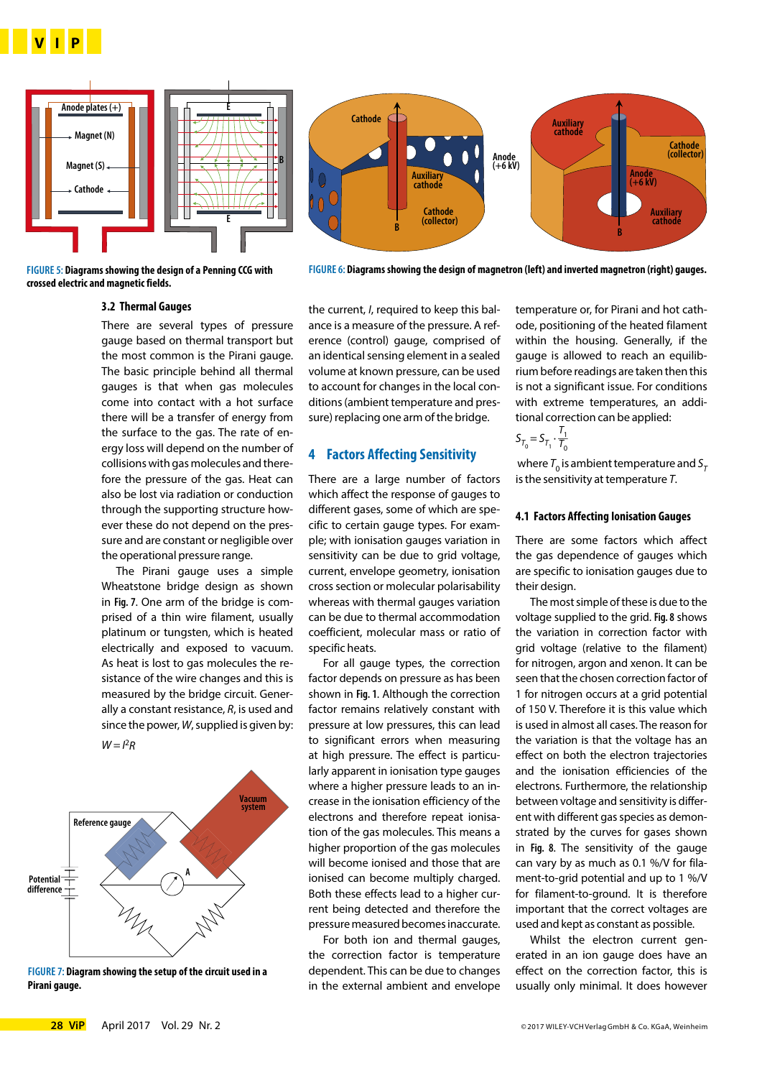





**FIGURE 6: Diagrams showing the design of magnetron (left) and inverted magnetron (right) gauges. FIGURE 5: Diagrams showing the design of a Penning CCG with** 

### **3.2 Thermal Gauges**

**crossed electric and magnetic fields.**

There are several types of pressure gauge based on thermal transport but the most common is the Pirani gauge. The basic principle behind all thermal gauges is that when gas molecules come into contact with a hot surface there will be a transfer of energy from the surface to the gas. The rate of energy loss will depend on the number of collisions with gas molecules and therefore the pressure of the gas. Heat can also be lost via radiation or conduction through the supporting structure however these do not depend on the pressure and are constant or negligible over the operational pressure range.

The Pirani gauge uses a simple Wheatstone bridge design as shown in **Fig. 7**. One arm of the bridge is comprised of a thin wire filament, usually platinum or tungsten, which is heated electrically and exposed to vacuum. As heat is lost to gas molecules the resistance of the wire changes and this is measured by the bridge circuit. Generally a constant resistance, *R*, is used and since the power, *W*, supplied is given by:

 $W = I^2 R$ 



**FIGURE 7: Diagram showing the setup of the circuit used in a Pirani gauge.**

the current, *I*, required to keep this balance is a measure of the pressure. A reference (control) gauge, comprised of an identical sensing element in a sealed volume at known pressure, can be used to account for changes in the local conditions (ambient temperature and pressure) replacing one arm of the bridge.

## **4 Factors Affecting Sensitivity**

There are a large number of factors which affect the response of gauges to different gases, some of which are specific to certain gauge types. For example; with ionisation gauges variation in sensitivity can be due to grid voltage, current, envelope geometry, ionisation cross section or molecular polarisability whereas with thermal gauges variation can be due to thermal accommodation coefficient, molecular mass or ratio of specific heats.

For all gauge types, the correction factor depends on pressure as has been shown in **Fig. 1**. Although the correction factor remains relatively constant with pressure at low pressures, this can lead to significant errors when measuring at high pressure. The effect is particularly apparent in ionisation type gauges where a higher pressure leads to an increase in the ionisation efficiency of the electrons and therefore repeat ionisation of the gas molecules. This means a higher proportion of the gas molecules will become ionised and those that are ionised can become multiply charged. Both these effects lead to a higher current being detected and therefore the pressure measured becomes inaccurate.

For both ion and thermal gauges, the correction factor is temperature dependent. This can be due to changes in the external ambient and envelope

temperature or, for Pirani and hot cathode, positioning of the heated filament within the housing. Generally, if the gauge is allowed to reach an equilibrium before readings are taken then this is not a significant issue. For conditions with extreme temperatures, an additional correction can be applied:

$$
S_{T_0} = S_{T_1} \cdot \frac{T_1}{T_0}
$$

where  $T_0$  is ambient temperature and  $S_T$ is the sensitivity at temperature *T*.

#### **4.1 Factors Affecting Ionisation Gauges**

There are some factors which affect the gas dependence of gauges which are specific to ionisation gauges due to their design.

The most simple of these is due to the voltage supplied to the grid. **Fig. 8** shows the variation in correction factor with grid voltage (relative to the filament) for nitrogen, argon and xenon. It can be seen that the chosen correction factor of 1 for nitrogen occurs at a grid potential of 150 V. Therefore it is this value which is used in almost all cases. The reason for the variation is that the voltage has an effect on both the electron trajectories and the ionisation efficiencies of the electrons. Furthermore, the relationship between voltage and sensitivity is different with different gas species as demonstrated by the curves for gases shown in **Fig. 8**. The sensitivity of the gauge can vary by as much as 0.1 %/V for filament-to-grid potential and up to 1 %/V for filament-to-ground. It is therefore important that the correct voltages are used and kept as constant as possible.

Whilst the electron current generated in an ion gauge does have an effect on the correction factor, this is usually only minimal. It does however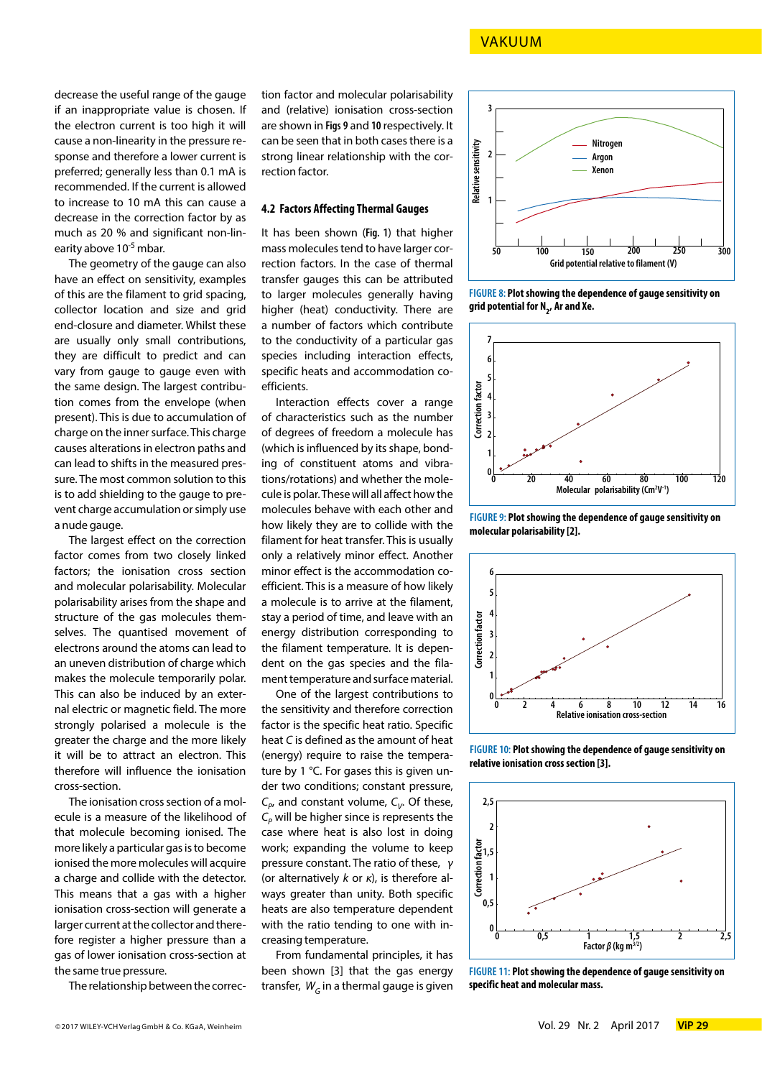decrease the useful range of the gauge if an inappropriate value is chosen. If the electron current is too high it will cause a non-linearity in the pressure response and therefore a lower current is preferred; generally less than 0.1 mA is recommended. If the current is allowed to increase to 10 mA this can cause a decrease in the correction factor by as much as 20 % and significant non-linearity above 10-5 mbar.

The geometry of the gauge can also have an effect on sensitivity, examples of this are the filament to grid spacing, collector location and size and grid end-closure and diameter. Whilst these are usually only small contributions, they are difficult to predict and can vary from gauge to gauge even with the same design. The largest contribution comes from the envelope (when present). This is due to accumulation of charge on the inner surface. This charge causes alterations in electron paths and can lead to shifts in the measured pressure. The most common solution to this is to add shielding to the gauge to prevent charge accumulation or simply use a nude gauge.

The largest effect on the correction factor comes from two closely linked factors; the ionisation cross section and molecular polarisability. Molecular polarisability arises from the shape and structure of the gas molecules themselves. The quantised movement of electrons around the atoms can lead to an uneven distribution of charge which makes the molecule temporarily polar. This can also be induced by an external electric or magnetic field. The more strongly polarised a molecule is the greater the charge and the more likely it will be to attract an electron. This therefore will influence the ionisation cross-section.

The ionisation cross section of a molecule is a measure of the likelihood of that molecule becoming ionised. The more likely a particular gas is to become ionised the more molecules will acquire a charge and collide with the detector. This means that a gas with a higher ionisation cross-section will generate a larger current at the collector and therefore register a higher pressure than a gas of lower ionisation cross-section at the same true pressure.

The relationship between the correc-

tion factor and molecular polarisability and (relative) ionisation cross-section are shown in **Figs 9** and **10** respectively. It can be seen that in both cases there is a strong linear relationship with the correction factor.

## **4.2 Factors Affecting Thermal Gauges**

It has been shown (**Fig. 1**) that higher mass molecules tend to have larger correction factors. In the case of thermal transfer gauges this can be attributed to larger molecules generally having higher (heat) conductivity. There are a number of factors which contribute to the conductivity of a particular gas species including interaction effects, specific heats and accommodation coefficients.

Interaction effects cover a range of characteristics such as the number of degrees of freedom a molecule has (which is influenced by its shape, bonding of constituent atoms and vibrations/rotations) and whether the molecule is polar. These will all affect how the molecules behave with each other and how likely they are to collide with the filament for heat transfer. This is usually only a relatively minor effect. Another minor effect is the accommodation coefficient. This is a measure of how likely a molecule is to arrive at the filament, stay a period of time, and leave with an energy distribution corresponding to the filament temperature. It is dependent on the gas species and the filament temperature and surface material.

One of the largest contributions to the sensitivity and therefore correction factor is the specific heat ratio. Specific heat *C* is defined as the amount of heat (energy) require to raise the temperature by 1 °C. For gases this is given under two conditions; constant pressure,  $C_{pr}$  and constant volume,  $C_{pr}$  Of these, *C*<sub>p</sub> will be higher since is represents the case where heat is also lost in doing work; expanding the volume to keep pressure constant. The ratio of these, *γ* (or alternatively *k* or *κ*), is therefore always greater than unity. Both specific heats are also temperature dependent with the ratio tending to one with increasing temperature.

From fundamental principles, it has been shown [3] that the gas energy transfer,  $W_G$  in a thermal gauge is given



**FIGURE 8: Plot showing the dependence of gauge sensitivity on**  grid potential for N<sub>2</sub>, Ar and Xe.



**FIGURE 9: Plot showing the dependence of gauge sensitivity on molecular polarisability [2].**



**FIGURE 10: Plot showing the dependence of gauge sensitivity on relative ionisation cross section [3].**



**FIGURE 11: Plot showing the dependence of gauge sensitivity on specific heat and molecular mass.**